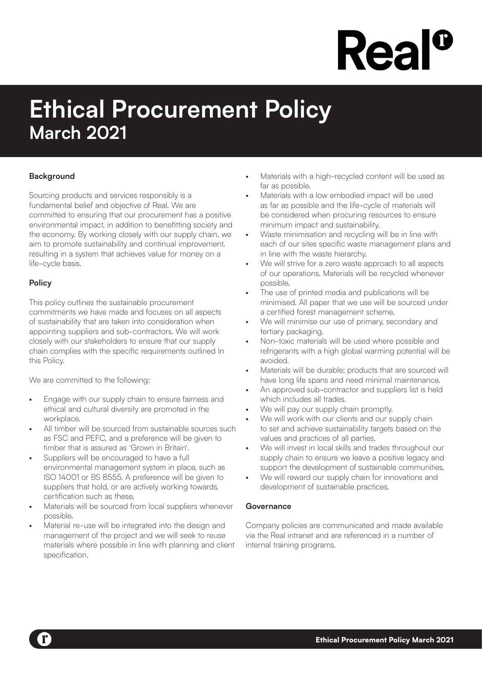# **Rea**

### **Ethical Procurement Policy March 2021**

#### **Background**

Sourcing products and services responsibly is a fundamental belief and objective of Real. We are committed to ensuring that our procurement has a positive environmental impact, in addition to benefitting society and the economy. By working closely with our supply chain, we aim to promote sustainability and continual improvement, resulting in a system that achieves value for money on a life-cycle basis.

#### **Policy**

This policy outlines the sustainable procurement commitments we have made and focuses on all aspects of sustainability that are taken into consideration when appointing suppliers and sub-contractors. We will work closely with our stakeholders to ensure that our supply chain complies with the specific requirements outlined In this Policy.

We are committed to the following:

- Engage with our supply chain to ensure fairness and ethical and cultural diversity are promoted in the workplace.
- All timber will be sourced from sustainable sources such as FSC and PEFC, and a preference will be given to timber that is assured as 'Grown in Britain'.
- Suppliers will be encouraged to have a full environmental management system in place, such as ISO 14001 or BS 8555. A preference will be given to suppliers that hold, or are actively working towards, certification such as these.
- Materials will be sourced from local suppliers whenever possible.
- Material re-use will be integrated into the design and management of the project and we will seek to reuse materials where possible in line with planning and client specification.
- Materials with a high-recycled content will be used as far as possible.
- Materials with a low embodied impact will be used as far as possible and the life-cycle of materials will be considered when procuring resources to ensure minimum impact and sustainability.
- Waste minimisation and recycling will be in line with each of our sites specific waste management plans and in line with the waste hierarchy.
- We will strive for a zero waste approach to all aspects of our operations. Materials will be recycled whenever possible.
- The use of printed media and publications will be minimised. All paper that we use will be sourced under a certified forest management scheme.
- We will minimise our use of primary, secondary and tertiary packaging.
- Non-toxic materials will be used where possible and refrigerants with a high global warming potential will be avoided.
- Materials will be durable; products that are sourced will have long life spans and need minimal maintenance.
- An approved sub-contractor and suppliers list is held which includes all trades.
- We will pay our supply chain promptly.
- We will work with our clients and our supply chain to set and achieve sustainability targets based on the values and practices of all parties.
- We will invest in local skills and trades throughout our supply chain to ensure we leave a positive legacy and support the development of sustainable communities.
- We will reward our supply chain for innovations and development of sustainable practices.

#### **Governance**

Company policies are communicated and made available via the Real intranet and are referenced in a number of internal training programs.